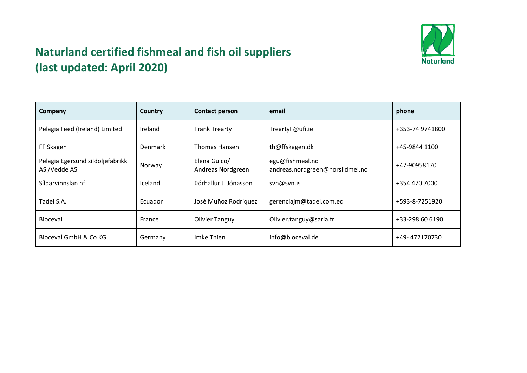

## **Naturland certified fishmeal and fish oil suppliers (last updated: April 2020)**

| Company                                          | Country        | <b>Contact person</b>             | email                                              | phone           |
|--------------------------------------------------|----------------|-----------------------------------|----------------------------------------------------|-----------------|
| Pelagia Feed (Ireland) Limited                   | Ireland        | <b>Frank Trearty</b>              | TreartyF@ufi.ie                                    | +353-74 9741800 |
| FF Skagen                                        | <b>Denmark</b> | <b>Thomas Hansen</b>              | th@ffskagen.dk                                     | +45-9844 1100   |
| Pelagia Egersund sildoljefabrikk<br>AS /Vedde AS | Norway         | Elena Gulco/<br>Andreas Nordgreen | egu@fishmeal.no<br>andreas.nordgreen@norsildmel.no | +47-90958170    |
| Síldarvinnslan hf                                | <b>Iceland</b> | Þórhallur J. Jónasson             | svn@svn.is                                         | +354 470 7000   |
| Tadel S.A.                                       | Ecuador        | José Muñoz Rodríguez              | gerenciajm@tadel.com.ec                            | +593-8-7251920  |
| Bioceval                                         | France         | <b>Olivier Tanguy</b>             | Olivier.tanguy@saria.fr                            | +33-298 60 6190 |
| Bioceval GmbH & Co KG                            | Germany        | Imke Thien                        | info@bioceval.de                                   | +49-472170730   |